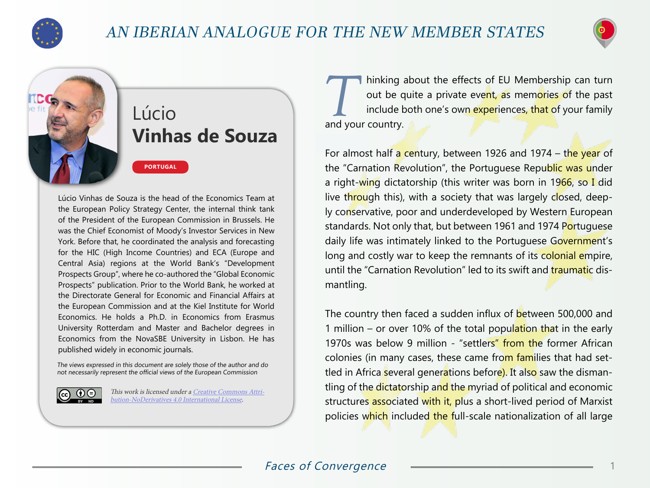

## AN IBERIAN ANALOGUE FOR THE NEW MEMBER STATES



## Lúcio **Vinhas de Souza**

**PORTUGAL**

Lúcio Vinhas de Souza is the head of the Economics Team at the European Policy Strategy Center, the internal think tank of the President of the European Commission in Brussels. He was the Chief Economist of Moody's Investor Services in New York. Before that, he coordinated the analysis and forecasting for the HIC (High Income Countries) and ECA (Europe and Central Asia) regions at the World Bank's "Development Prospects Group", where he co-authored the "Global Economic Prospects" publication. Prior to the World Bank, he worked at the Directorate General for Economic and Financial Affairs at the European Commission and at the Kiel Institute for World Economics. He holds a Ph.D. in Economics from Erasmus University Rotterdam and Master and Bachelor degrees in Economics from the NovaSBE University in Lisbon. He has published widely in economic journals.

The views expressed in this document are solely those of the author and do not necessarily represent the official views of the European Commission



This work is licensed under a [Creative Commons Attri](https://creativecommons.org/licenses/by-nd/4.0/)[bution-NoDerivatives 4.0 International License](https://creativecommons.org/licenses/by-nd/4.0/).

Thinking about the effects of EU Membership can turn<br>out be quite a private event, as memories of the past<br>include both one's own experiences, that of your family out be quite a private event, as memories of the past include both one's own experiences, that of your family and your country.

For almost half a century, between 1926 and 1974 – the year of the "Carnation Revolution", the Portuguese Republic was under a right-wing dictatorship (this writer was born in 1966, so I did live through this), with a society that was largely closed, deeply conservative, poor and underdeveloped by Western European standards. Not only that, but between 1961 and 1974 Portuguese daily life was intimately linked to the Portuguese Government's long and costly war to keep the remnants of its colonial empire, until the "Carnation Revolution" led to its swift and traumatic dismantling.

The country then faced a sudden influx of between 500,000 and 1 million – or over 10% of the total population that in the early 1970s was below 9 million - "settlers" from the former African colonies (in many cases, these came from families that had settled in Africa several generations before). It also saw the dismantling of the dictatorship and the myriad of political and economic structures associated with it, plus a short-lived period of Marxist policies which included the full-scale nationalization of all large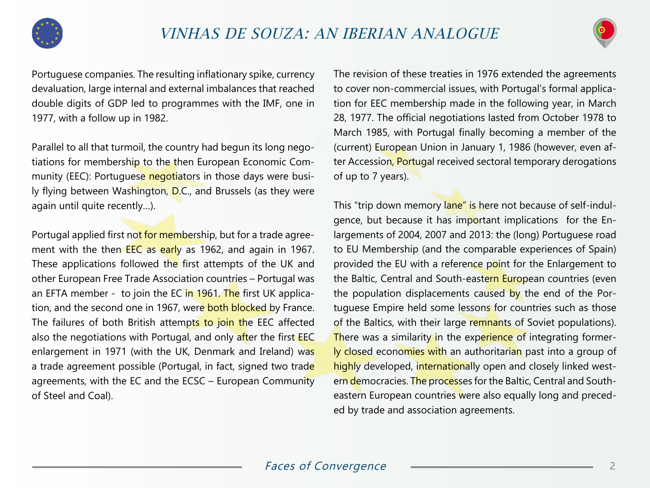



Portuguese companies. The resulting inflationary spike, currency devaluation, large internal and external imbalances that reached double digits of GDP led to programmes with the IMF, one in 1977, with a follow up in 1982.

Parallel to all that turmoil, the country had begun its long negotiations for membership to the then European Economic Community (EEC): Portuguese negotiators in those days were busily flying between Washington, D.C., and Brussels (as they were again until quite recently…).

Portugal applied first not for membership, but for a trade agreement with the then EEC as early as 1962, and again in 1967. These applications followed the first attempts of the UK and other European Free Trade Association countries – Portugal was an EFTA member - to join the EC in 1961. The first UK application, and the second one in 1967, were both blocked by France. The failures of both British attempts to join the EEC affected also the negotiations with Portugal, and only after the first EEC enlargement in 1971 (with the UK, Denmark and Ireland) was a trade agreement possible (Portugal, in fact, signed two trade agreements, with the EC and the ECSC - European Community of Steel and Coal).

The revision of these treaties in 1976 extended the agreements to cover non-commercial issues, with Portugal's formal application for EEC membership made in the following year, in March 28, 1977. The official negotiations lasted from October 1978 to March 1985, with Portugal finally becoming a member of the (current) European Union in January 1, 1986 (however, even after Accession, Portugal received sectoral temporary derogations of up to 7 years).

This "trip down memory lane" is here not because of self-indulgence, but because it has important implications for the Enlargements of 2004, 2007 and 2013: the (long) Portuguese road to EU Membership (and the comparable experiences of Spain) provided the EU with a reference point for the Enlargement to the Baltic, Central and South-eastern European countries (even the population displacements caused by the end of the Portuguese Empire held some lessons for countries such as those of the Baltics, with their large remnants of Soviet populations). There was a similarity in the experience of integrating formerly closed economies with an authoritarian past into a group of highly developed, internationally open and closely linked western democracies. The processes for the Baltic, Central and Southeastern European countries were also equally long and preceded by trade and association agreements.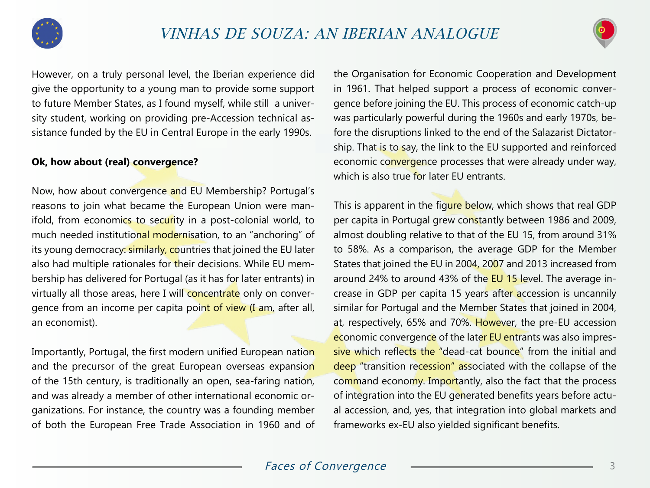

However, on a truly personal level, the Iberian experience did give the opportunity to a young man to provide some support to future Member States, as I found myself, while still a university student, working on providing pre-Accession technical assistance funded by the EU in Central Europe in the early 1990s.

## **Ok, how about (real) convergence?**

Now, how about convergence and EU Membership? Portugal's reasons to join what became the European Union were manifold, from economics to security in a post-colonial world, to much needed institutional modernisation, to an "anchoring" of its young democracy: similarly, countries that joined the EU later also had multiple rationales for their decisions. While EU membership has delivered for Portugal (as it has for later entrants) in virtually all those areas, here I will concentrate only on convergence from an income per capita point of view (I am, after all, an economist).

Importantly, Portugal, the first modern unified European nation and the precursor of the great European overseas expansion of the 15th century, is traditionally an open, sea-faring nation, and was already a member of other international economic organizations. For instance, the country was a founding member of both the European Free Trade Association in 1960 and of the Organisation for Economic Cooperation and Development in 1961. That helped support a process of economic convergence before joining the EU. This process of economic catch-up was particularly powerful during the 1960s and early 1970s, before the disruptions linked to the end of the Salazarist Dictatorship. That is to say, the link to the EU supported and reinforced economic convergence processes that were already under way, which is also true for later EU entrants.

This is apparent in the figure below, which shows that real GDP per capita in Portugal grew constantly between 1986 and 2009, almost doubling relative to that of the EU 15, from around 31% to 58%. As a comparison, the average GDP for the Member States that joined the EU in 2004, 2007 and 2013 increased from around 24% to around 43% of the EU 15 level. The average increase in GDP per capita 15 years after accession is uncannily similar for Portugal and the Member States that joined in 2004, at, respectively, 65% and 70%. However, the pre-EU accession economic convergence of the later EU entrants was also impressive which reflects the "dead-cat bounce" from the initial and deep "transition recession" associated with the collapse of the command economy. Importantly, also the fact that the process of integration into the EU generated benefits years before actual accession, and, yes, that integration into global markets and frameworks ex-EU also yielded significant benefits.